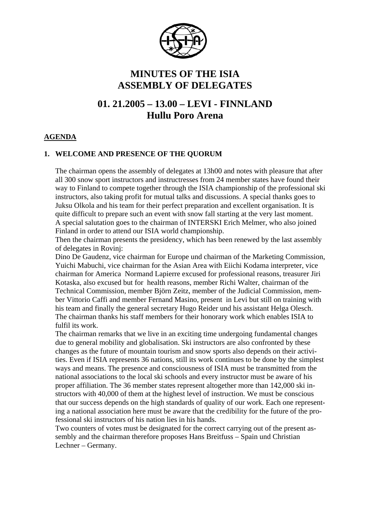

# **MINUTES OF THE ISIA ASSEMBLY OF DELEGATES**

# **01. 21.2005 – 13.00 – LEVI - FINNLAND Hullu Poro Arena**

## **AGENDA**

## **1. WELCOME AND PRESENCE OF THE QUORUM**

The chairman opens the assembly of delegates at 13h00 and notes with pleasure that after all 300 snow sport instructors and instructresses from 24 member states have found their way to Finland to compete together through the ISIA championship of the professional ski instructors, also taking profit for mutual talks and discussions. A special thanks goes to Juksu Olkola and his team for their perfect preparation and excellent organisation. It is quite difficult to prepare such an event with snow fall starting at the very last moment. A special salutation goes to the chairman of INTERSKI Erich Melmer, who also joined Finland in order to attend our ISIA world championship.

Then the chairman presents the presidency, which has been renewed by the last assembly of delegates in Rovinj:

Dino De Gaudenz, vice chairman for Europe und chairman of the Marketing Commission, Yuichi Mabuchi, vice chairman for the Asian Area with Eiichi Kodama interpreter, vice chairman for America Normand Lapierre excused for professional reasons, treasurer Jiri Kotaska, also excused but for health reasons, member Richi Walter, chairman of the Technical Commission, member Björn Zeitz, member of the Judicial Commission, member Vittorio Caffi and member Fernand Masino, present in Levi but still on training with his team and finally the general secretary Hugo Reider und his assistant Helga Olesch. The chairman thanks his staff members for their honorary work which enables ISIA to fulfil its work.

The chairman remarks that we live in an exciting time undergoing fundamental changes due to general mobility and globalisation. Ski instructors are also confronted by these changes as the future of mountain tourism and snow sports also depends on their activities. Even if ISIA represents 36 nations, still its work continues to be done by the simplest ways and means. The presence and consciousness of ISIA must be transmitted from the national associations to the local ski schools and every instructor must be aware of his proper affiliation. The 36 member states represent altogether more than 142,000 ski instructors with 40,000 of them at the highest level of instruction. We must be conscious that our success depends on the high standards of quality of our work. Each one representing a national association here must be aware that the credibility for the future of the professional ski instructors of his nation lies in his hands.

Two counters of votes must be designated for the correct carrying out of the present assembly and the chairman therefore proposes Hans Breitfuss – Spain und Christian Lechner – Germany.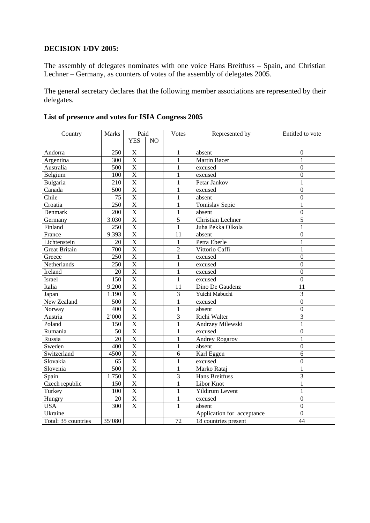#### **DECISION 1/DV 2005:**

The assembly of delegates nominates with one voice Hans Breitfuss – Spain, and Christian Lechner – Germany, as counters of votes of the assembly of delegates 2005.

The general secretary declares that the following member associations are represented by their delegates.

| Country              | <b>Marks</b> | Paid                    |    | <b>Votes</b>   | Represented by                    | Entitled to vote |
|----------------------|--------------|-------------------------|----|----------------|-----------------------------------|------------------|
|                      |              | <b>YES</b>              | NO |                |                                   |                  |
|                      |              |                         |    |                |                                   |                  |
| Andorra              | 250          | $\mathbf X$             |    | 1              | absent                            | $\mathbf{0}$     |
| Argentina            | 300          | $\overline{\text{X}}$   |    | $\mathbf{1}$   | <b>Martin Bacer</b>               | $\mathbf{1}$     |
| Australia            | 500          | $\overline{\mathrm{X}}$ |    | 1              | excused                           | $\overline{0}$   |
| Belgium              | 100          | X                       |    | 1              | excused                           | $\mathbf{0}$     |
| Bulgaria             | 210          | X                       |    | 1              | Petar Jankov                      | 1                |
| Canada               | 500          | $\mathbf X$             |    | 1              | excused                           | $\boldsymbol{0}$ |
| Chile                | 75           | $\overline{X}$          |    | 1              | absent                            | $\boldsymbol{0}$ |
| Croatia              | 250          | $\overline{\mathbf{X}}$ |    | 1              | Tomislav Sepic                    | 1                |
| Denmark              | 200          | $\overline{X}$          |    | $\mathbf{1}$   | absent                            | $\boldsymbol{0}$ |
| Germany              | 3.030        | $\overline{X}$          |    | 5              | <b>Christian Lechner</b>          | 5                |
| Finland              | 250          | X                       |    | 1              | Juha Pekka Olkola                 | $\mathbf{1}$     |
| France               | 9.393        | $\overline{X}$          |    | 11             | absent                            | $\overline{0}$   |
| Lichtenstein         | 20           | $\overline{\mathrm{X}}$ |    | $\mathbf{1}$   | Petra Eberle                      | $\mathbf{1}$     |
| <b>Great Britain</b> | 700          | $\overline{\mathrm{X}}$ |    | $\overline{2}$ | Vittorio Caffi                    | 1                |
| Greece               | 250          | X                       |    | 1              | excused                           | $\mathbf{0}$     |
| Netherlands          | 250          | $\overline{X}$          |    | 1              | excused                           | $\overline{0}$   |
| Ireland              | 20           | X                       |    | 1              | excused                           | $\overline{0}$   |
| Israel               | 150          | X                       |    | 1              | excused                           | $\overline{0}$   |
| Italia               | 9.200        | X                       |    | 11             | Dino De Gaudenz                   | 11               |
| Japan                | 1.190        | X                       |    | 3              | Yuichi Mabuchi                    | 3                |
| New Zealand          | 500          | $\overline{\mathrm{X}}$ |    | $\mathbf{1}$   | excused                           | $\overline{0}$   |
| Norway               | 400          | $\overline{X}$          |    | 1              | absent                            | $\overline{0}$   |
| Austria              | 2'000        | $\overline{X}$          |    | 3              | Richi Walter                      | 3                |
| Poland               | 150          | $\overline{X}$          |    | 1              | Andrzey Milewski                  | 1                |
| Rumania              | 50           | $\overline{X}$          |    | 1              | excused                           | $\boldsymbol{0}$ |
| Russia               | 20           | X                       |    | 1              | <b>Andrey Rogarov</b>             | 1                |
| Sweden               | 400          | X                       |    | 1              | absent                            | $\mathbf{0}$     |
| Switzerland          | 4500         | $\overline{\mathbf{X}}$ |    | 6              | Karl Eggen                        | 6                |
| Slovakia             | 65           | $\overline{\mathrm{X}}$ |    | 1              | excused                           | $\overline{0}$   |
| Slovenia             | 500          | $\overline{\text{X}}$   |    | $\mathbf{1}$   | Marko Rataj                       | $\mathbf{1}$     |
| Spain                | 1.750        | X                       |    | 3              | <b>Hans Breitfuss</b>             | 3                |
| Czech republic       | 150          | $\overline{X}$          |    | 1              | Libor Knot                        | $\mathbf{1}$     |
| Turkey               | 100          | $\overline{X}$          |    | $\mathbf{1}$   | Yildirum Levent                   | $\mathbf{1}$     |
| Hungry               | 20           | X                       |    | 1              | excused                           | $\boldsymbol{0}$ |
| <b>USA</b>           | 300          | X                       |    | 1              | absent                            | $\mathbf{0}$     |
| Ukraine              |              |                         |    |                | Application for acceptance        | $\boldsymbol{0}$ |
| Total: 35 countries  | 35'080       |                         |    | 72             | $\overline{18}$ countries present | $\overline{44}$  |

# **List of presence and votes for ISIA Congress 2005**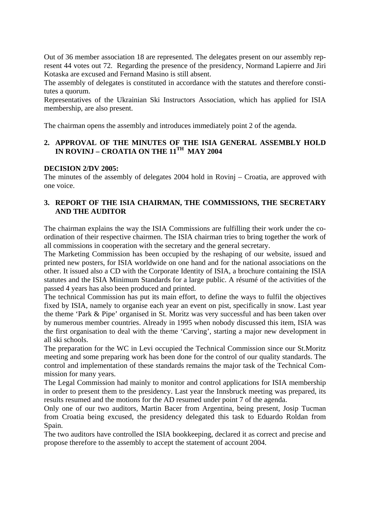Out of 36 member association 18 are represented. The delegates present on our assembly represent 44 votes out 72. Regarding the presence of the presidency, Normand Lapierre and Jiri Kotaska are excused and Fernand Masino is still absent.

The assembly of delegates is constituted in accordance with the statutes and therefore constitutes a quorum.

Representatives of the Ukrainian Ski Instructors Association, which has applied for ISIA membership, are also present.

The chairman opens the assembly and introduces immediately point 2 of the agenda.

## **2. APPROVAL OF THE MINUTES OF THE ISIA GENERAL ASSEMBLY HOLD IN ROVINJ – CROATIA ON THE 11TH MAY 2004**

#### **DECISION 2/DV 2005:**

The minutes of the assembly of delegates 2004 hold in Rovinj – Croatia, are approved with one voice.

## **3. REPORT OF THE ISIA CHAIRMAN, THE COMMISSIONS, THE SECRETARY AND THE AUDITOR**

The chairman explains the way the ISIA Commissions are fulfilling their work under the coordination of their respective chairmen. The ISIA chairman tries to bring together the work of all commissions in cooperation with the secretary and the general secretary.

The Marketing Commission has been occupied by the reshaping of our website, issued and printed new posters, for ISIA worldwide on one hand and for the national associations on the other. It issued also a CD with the Corporate Identity of ISIA, a brochure containing the ISIA statutes and the ISIA Minimum Standards for a large public. A résumé of the activities of the passed 4 years has also been produced and printed.

The technical Commission has put its main effort, to define the ways to fulfil the objectives fixed by ISIA, namely to organise each year an event on pist, specifically in snow. Last year the theme 'Park & Pipe' organised in St. Moritz was very successful and has been taken over by numerous member countries. Already in 1995 when nobody discussed this item, ISIA was the first organisation to deal with the theme 'Carving', starting a major new development in all ski schools.

The preparation for the WC in Levi occupied the Technical Commission since our St.Moritz meeting and some preparing work has been done for the control of our quality standards. The control and implementation of these standards remains the major task of the Technical Commission for many years.

The Legal Commission had mainly to monitor and control applications for ISIA membership in order to present them to the presidency. Last year the Innsbruck meeting was prepared, its results resumed and the motions for the AD resumed under point 7 of the agenda.

Only one of our two auditors, Martin Bacer from Argentina, being present, Josip Tucman from Croatia being excused, the presidency delegated this task to Eduardo Roldan from Spain.

The two auditors have controlled the ISIA bookkeeping, declared it as correct and precise and propose therefore to the assembly to accept the statement of account 2004.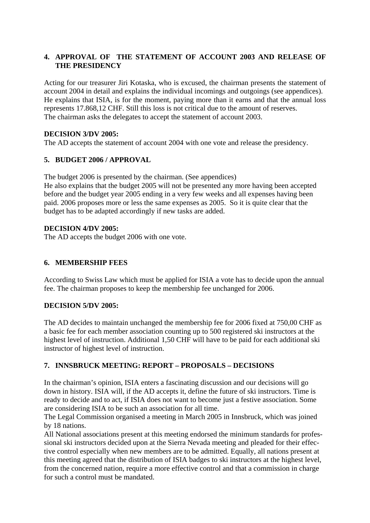## **4. APPROVAL OF THE STATEMENT OF ACCOUNT 2003 AND RELEASE OF THE PRESIDENCY**

Acting for our treasurer Jiri Kotaska, who is excused, the chairman presents the statement of account 2004 in detail and explains the individual incomings and outgoings (see appendices). He explains that ISIA, is for the moment, paying more than it earns and that the annual loss represents 17.868,12 CHF. Still this loss is not critical due to the amount of reserves. The chairman asks the delegates to accept the statement of account 2003.

## **DECISION 3/DV 2005:**

The AD accepts the statement of account 2004 with one vote and release the presidency.

# **5. BUDGET 2006 / APPROVAL**

The budget 2006 is presented by the chairman. (See appendices) He also explains that the budget 2005 will not be presented any more having been accepted before and the budget year 2005 ending in a very few weeks and all expenses having been paid. 2006 proposes more or less the same expenses as 2005. So it is quite clear that the budget has to be adapted accordingly if new tasks are added.

## **DECISION 4/DV 2005:**

The AD accepts the budget 2006 with one vote.

# **6. MEMBERSHIP FEES**

According to Swiss Law which must be applied for ISIA a vote has to decide upon the annual fee. The chairman proposes to keep the membership fee unchanged for 2006.

## **DECISION 5/DV 2005:**

The AD decides to maintain unchanged the membership fee for 2006 fixed at 750,00 CHF as a basic fee for each member association counting up to 500 registered ski instructors at the highest level of instruction. Additional 1,50 CHF will have to be paid for each additional ski instructor of highest level of instruction.

## **7. INNSBRUCK MEETING: REPORT – PROPOSALS – DECISIONS**

In the chairman's opinion, ISIA enters a fascinating discussion and our decisions will go down in history. ISIA will, if the AD accepts it, define the future of ski instructors. Time is ready to decide and to act, if ISIA does not want to become just a festive association. Some are considering ISIA to be such an association for all time.

The Legal Commission organised a meeting in March 2005 in Innsbruck, which was joined by 18 nations.

All National associations present at this meeting endorsed the minimum standards for professional ski instructors decided upon at the Sierra Nevada meeting and pleaded for their effective control especially when new members are to be admitted. Equally, all nations present at this meeting agreed that the distribution of ISIA badges to ski instructors at the highest level, from the concerned nation, require a more effective control and that a commission in charge for such a control must be mandated.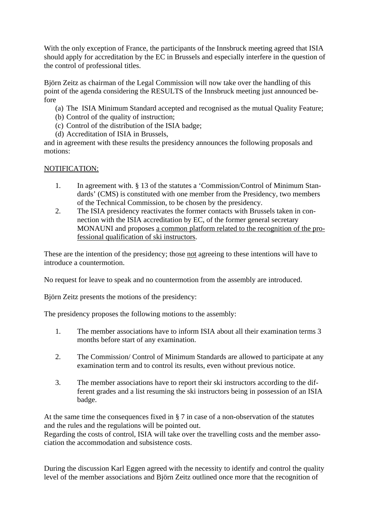With the only exception of France, the participants of the Innsbruck meeting agreed that ISIA should apply for accreditation by the EC in Brussels and especially interfere in the question of the control of professional titles.

Björn Zeitz as chairman of the Legal Commission will now take over the handling of this point of the agenda considering the RESULTS of the Innsbruck meeting just announced before

- (a) The ISIA Minimum Standard accepted and recognised as the mutual Quality Feature;
- (b) Control of the quality of instruction;
- (c) Control of the distribution of the ISIA badge;
- (d) Accreditation of ISIA in Brussels,

and in agreement with these results the presidency announces the following proposals and motions:

#### NOTIFICATION:

- 1. In agreement with. § 13 of the statutes a 'Commission/Control of Minimum Standards' (CMS) is constituted with one member from the Presidency, two members of the Technical Commission, to be chosen by the presidency.
- 2. The ISIA presidency reactivates the former contacts with Brussels taken in connection with the ISIA accreditation by EC, of the former general secretary MONAUNI and proposes a common platform related to the recognition of the professional qualification of ski instructors.

These are the intention of the presidency; those not agreeing to these intentions will have to introduce a countermotion.

No request for leave to speak and no countermotion from the assembly are introduced.

Björn Zeitz presents the motions of the presidency:

The presidency proposes the following motions to the assembly:

- 1. The member associations have to inform ISIA about all their examination terms 3 months before start of any examination.
- 2. The Commission/ Control of Minimum Standards are allowed to participate at any examination term and to control its results, even without previous notice.
- 3. The member associations have to report their ski instructors according to the different grades and a list resuming the ski instructors being in possession of an ISIA badge.

At the same time the consequences fixed in § 7 in case of a non-observation of the statutes and the rules and the regulations will be pointed out.

Regarding the costs of control, ISIA will take over the travelling costs and the member association the accommodation and subsistence costs.

During the discussion Karl Eggen agreed with the necessity to identify and control the quality level of the member associations and Björn Zeitz outlined once more that the recognition of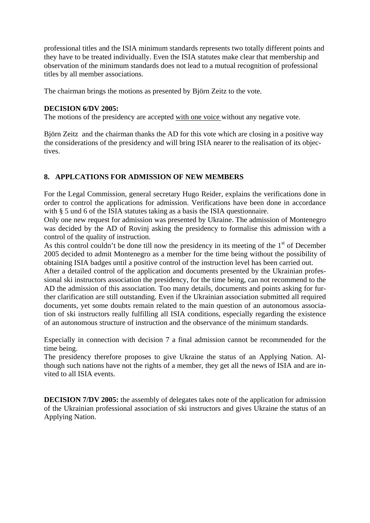professional titles and the ISIA minimum standards represents two totally different points and they have to be treated individually. Even the ISIA statutes make clear that membership and observation of the minimum standards does not lead to a mutual recognition of professional titles by all member associations.

The chairman brings the motions as presented by Björn Zeitz to the vote.

#### **DECISION 6/DV 2005:**

The motions of the presidency are accepted with one voice without any negative vote.

Björn Zeitz and the chairman thanks the AD for this vote which are closing in a positive way the considerations of the presidency and will bring ISIA nearer to the realisation of its objectives.

#### **8. APPLCATIONS FOR ADMISSION OF NEW MEMBERS**

For the Legal Commission, general secretary Hugo Reider, explains the verifications done in order to control the applications for admission. Verifications have been done in accordance with § 5 und 6 of the ISIA statutes taking as a basis the ISIA questionnaire.

Only one new request for admission was presented by Ukraine. The admission of Montenegro was decided by the AD of Rovinj asking the presidency to formalise this admission with a control of the quality of instruction.

As this control couldn't be done till now the presidency in its meeting of the  $1<sup>st</sup>$  of December 2005 decided to admit Montenegro as a member for the time being without the possibility of obtaining ISIA badges until a positive control of the instruction level has been carried out.

After a detailed control of the application and documents presented by the Ukrainian professional ski instructors association the presidency, for the time being, can not recommend to the AD the admission of this association. Too many details, documents and points asking for further clarification are still outstanding. Even if the Ukrainian association submitted all required documents, yet some doubts remain related to the main question of an autonomous association of ski instructors really fulfilling all ISIA conditions, especially regarding the existence of an autonomous structure of instruction and the observance of the minimum standards.

Especially in connection with decision 7 a final admission cannot be recommended for the time being.

The presidency therefore proposes to give Ukraine the status of an Applying Nation. Although such nations have not the rights of a member, they get all the news of ISIA and are invited to all ISIA events.

**DECISION 7/DV 2005:** the assembly of delegates takes note of the application for admission of the Ukrainian professional association of ski instructors and gives Ukraine the status of an Applying Nation.